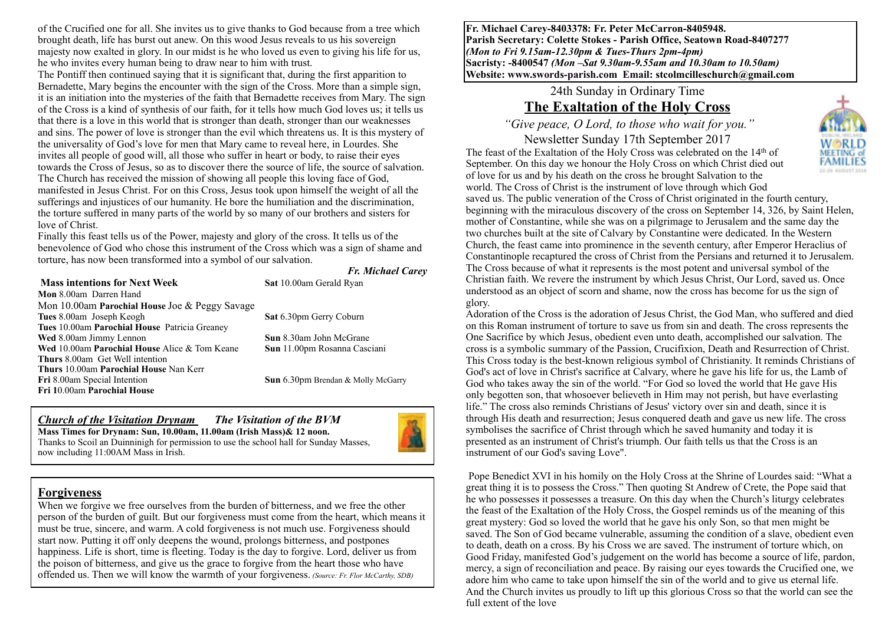of the Crucified one for all. She invites us to give thanks to God because from a tree which brought death, life has burst out anew. On this wood Jesus reveals to us his sovereign majesty now exalted in glory. In our midst is he who loved us even to giving his life for us, he who invites every human being to draw near to him with trust.

The Pontiff then continued saying that it is significant that, during the first apparition to Bernadette, Mary begins the encounter with the sign of the Cross. More than a simple sign, it is an initiation into the mysteries of the faith that Bernadette receives from Mary. The sign of the Cross is a kind of synthesis of our faith, for it tells how much God loves us; it tells us that there is a love in this world that is stronger than death, stronger than our weaknesses and sins. The power of love is stronger than the evil which threatens us. It is this mystery of the universality of God's love for men that Mary came to reveal here, in Lourdes. She invites all people of good will, all those who suffer in heart or body, to raise their eyes towards the Cross of Jesus, so as to discover there the source of life, the source of salvation. The Church has received the mission of showing all people this loving face of God, manifested in Jesus Christ. For on this Cross, Jesus took upon himself the weight of all the sufferings and injustices of our humanity. He bore the humiliation and the discrimination, the torture suffered in many parts of the world by so many of our brothers and sisters for love of Christ.

Finally this feast tells us of the Power, majesty and glory of the cross. It tells us of the benevolence of God who chose this instrument of the Cross which was a sign of shame and torture, has now been transformed into a symbol of our salvation.

#### **Mass intentions for Next Week Sat** 10.00am Gerald Ryan

*Fr. Michael Carey*

**Mon** 8.00am Darren Hand Mon 10.00am **Parochial House** Joe & Peggy Savage **Tues** 8.00am Joseph Keogh **Sat** 6.30pm Gerry Coburn **Tues** 10.00am **Parochial House** Patricia Greaney **Wed** 8.00am Jimmy Lennon **Sun** 8.30am John McGrane **Wed** 10.00am **Parochial House** Alice & Tom Keane **Sun** 11.00pm Rosanna Casciani **Thurs** 8.00am Get Well intention **Thurs** 10.00am **Parochial House** Nan Kerr **Fri** 8.00am Special Intention **Sun** 6.30pm Brendan & Molly McGarry **Fri 1**0.00am **Parochial House**

*Church of the Visitation Drynam**The Visitation of the BVM* **Mass Times for Drynam: Sun, 10.00am, 11.00am (Irish Mass)& 12 noon.** Thanks to Scoil an Duinninigh for permission to use the school hall for Sunday Masses, now including 11:00AM Mass in Irish.



#### **Forgiveness**

When we forgive we free ourselves from the burden of bitterness, and we free the other person of the burden of guilt. But our forgiveness must come from the heart, which means it must be true, sincere, and warm. A cold forgiveness is not much use. Forgiveness should start now. Putting it off only deepens the wound, prolongs bitterness, and postpones happiness. Life is short, time is fleeting. Today is the day to forgive. Lord, deliver us from the poison of bitterness, and give us the grace to forgive from the heart those who have offended us. Then we will know the warmth of your forgiveness. *(Source: Fr. Flor McCarthy, SDB)*

**Fr. Michael Carey-8403378: Fr. Peter McCarron-8405948. Parish Secretary: Colette Stokes - Parish Office, Seatown Road-8407277**  *(Mon to Fri 9.15am-12.30pm & Tues-Thurs 2pm-4pm)*  **Sacristy: -8400547** *(Mon –Sat 9.30am-9.55am and 10.30am to 10.50am)* **Website: [www.swords-parish.com Email:](http://www.swords-parish.com%20%20email) stcolmcilleschurch@gmail.com**

24th Sunday in Ordinary Time

## **The Exaltation of the Holy Cross**

 *"Give peace, O Lord, to those who wait for you."* 

Newsletter Sunday 17th September 2017 The feast of the Exaltation of the Holy Cross was celebrated on the 14th of September. On this day we honour the Holy Cross on which Christ died out of love for us and by his death on the cross he brought Salvation to the world. The Cross of Christ is the instrument of love through which God



saved us. The public veneration of the Cross of Christ originated in the fourth century, beginning with the miraculous discovery of the cross on September 14, 326, by Saint Helen, mother of Constantine, while she was on a pilgrimage to Jerusalem and the same day the two churches built at the site of Calvary by Constantine were dedicated. In the Western Church, the feast came into prominence in the seventh century, after Emperor Heraclius of Constantinople recaptured the cross of Christ from the Persians and returned it to Jerusalem. The Cross because of what it represents is the most potent and universal symbol of the Christian faith. We revere the instrument by which Jesus Christ, Our Lord, saved us. Once understood as an object of scorn and shame, now the cross has become for us the sign of glory.

Adoration of the Cross is the adoration of Jesus Christ, the God Man, who suffered and died on this Roman instrument of torture to save us from sin and death. The cross represents the One Sacrifice by which Jesus, obedient even unto death, accomplished our salvation. The cross is a symbolic summary of the Passion, Crucifixion, Death and Resurrection of Christ. This Cross today is the best-known religious symbol of Christianity. It reminds Christians of God's act of love in Christ's sacrifice at Calvary, where he gave his life for us, the Lamb of God who takes away the sin of the world. "For God so loved the world that He gave His only begotten son, that whosoever believeth in Him may not perish, but have everlasting life." The cross also reminds Christians of Jesus' victory over sin and death, since it is through His death and resurrection; Jesus conquered death and gave us new life. The cross symbolises the sacrifice of Christ through which he saved humanity and today it is presented as an instrument of Christ's triumph. Our faith tells us that the Cross is an instrument of our God's saving Love".

 Pope Benedict XVI in his homily on the Holy Cross at the Shrine of Lourdes said: "What a great thing it is to possess the Cross." Then quoting St Andrew of Crete, the Pope said that he who possesses it possesses a treasure. On this day when the Church's liturgy celebrates the feast of the Exaltation of the Holy Cross, the Gospel reminds us of the meaning of this great mystery: God so loved the world that he gave his only Son, so that men might be saved. The Son of God became vulnerable, assuming the condition of a slave, obedient even to death, death on a cross. By his Cross we are saved. The instrument of torture which, on Good Friday, manifested God's judgement on the world has become a source of life, pardon, mercy, a sign of reconciliation and peace. By raising our eyes towards the Crucified one, we adore him who came to take upon himself the sin of the world and to give us eternal life. And the Church invites us proudly to lift up this glorious Cross so that the world can see the full extent of the love